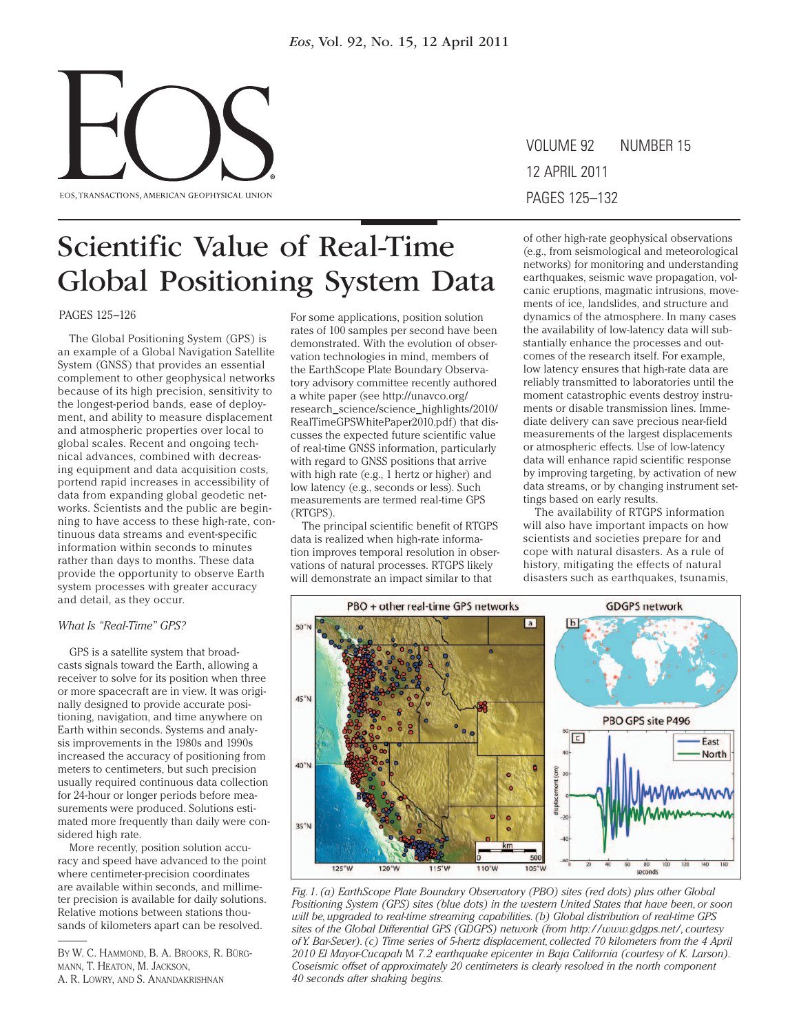

VOLUME 92 12 APRIL 2011 pages 53–60 pages 125–132 NUMBER 15

## Scientific Value of Real-Time Global Positioning System Data

PAGES 125–126

The Global Positioning System (GPS) is an example of a Global Navigation Satellite System (GNSS) that provides an essential complement to other geophysical networks because of its high precision, sensitivity to the longest-period bands, ease of deployment, and ability to measure displacement and atmospheric properties over local to global scales. Recent and ongoing technical advances, combined with decreasing equipment and data acquisition costs, portend rapid increases in accessibility of data from expanding global geodetic networks. Scientists and the public are beginning to have access to these high-rate, continuous data streams and event-specific information within seconds to minutes rather than days to months. These data provide the opportunity to observe Earth system processes with greater accuracy and detail, as they occur.

#### *What Is "Real-Time" GPS?*

GPS is a satellite system that broadcasts signals toward the Earth, allowing a receiver to solve for its position when three or more spacecraft are in view. It was originally designed to provide accurate positioning, navigation, and time anywhere on Earth within seconds. Systems and analysis improvements in the 1980s and 1990s increased the accuracy of positioning from meters to centimeters, but such precision usually required continuous data collection for 24-hour or longer periods before measurements were produced. Solutions estimated more frequently than daily were considered high rate.

More recently, position solution accuracy and speed have advanced to the point where centimeter-precision coordinates are available within seconds, and millimeter precision is available for daily solutions. Relative motions between stations thousands of kilometers apart can be resolved.

For some applications, position solution rates of 100 samples per second have been demonstrated. With the evolution of observation technologies in mind, members of the EarthScope Plate Boundary Observatory advisory committee recently authored a white paper (see http://unavco.org/ research\_science/science\_highlights/2010/ RealTimeGPSWhitePaper2010.pdf) that discusses the expected future scientific value of real-time GNSS information, particularly with regard to GNSS positions that arrive with high rate (e.g., 1 hertz or higher) and low latency (e.g., seconds or less). Such measurements are termed real-time GPS (RTGPS).

The principal scientific benefit of RTGPS data is realized when high-rate information improves temporal resolution in observations of natural processes. RTGPS likely will demonstrate an impact similar to that

of other high-rate geophysical observations (e.g., from seismological and meteorological networks) for monitoring and understanding earthquakes, seismic wave propagation, volcanic eruptions, magmatic intrusions, movements of ice, landslides, and structure and dynamics of the atmosphere. In many cases the availability of low-latency data will substantially enhance the processes and outcomes of the research itself. For example, low latency ensures that high-rate data are reliably transmitted to laboratories until the moment catastrophic events destroy instruments or disable transmission lines. Immediate delivery can save precious near-field measurements of the largest displacements or atmospheric effects. Use of low-latency data will enhance rapid scientific response by improving targeting, by activation of new data streams, or by changing instrument settings based on early results.

The availability of RTGPS information will also have important impacts on how scientists and societies prepare for and cope with natural disasters. As a rule of history, mitigating the effects of natural disasters such as earthquakes, tsunamis,



*Fig. 1. (a) EarthScope Plate Boundary Observatory (PBO) sites (red dots) plus other Global Positioning System (GPS) sites (blue dots) in the western United States that have been, or soon will be, upgraded to real-time streaming capabilities. (b) Global distribution of real-time GPS sites of the Global Differential GPS (GDGPS) network (from http://www.gdgps.net/, courtesy of Y. Bar-Sever). (c) Time series of 5-hertz displacement, collected 70 kilometers from the 4 April 2010 El Mayor-Cucapah* M *7.2 earthquake epicenter in Baja California (courtesy of K. Larson). Coseismic offset of approximately 20 centimeters is clearly resolved in the north component 40 seconds after shaking begins.*

By W. C. Hammond, B. A. Brooks, R. Bürgmann, T. Heaton, M. Jackson, A. R. Lowry, and S. Anandakrishnan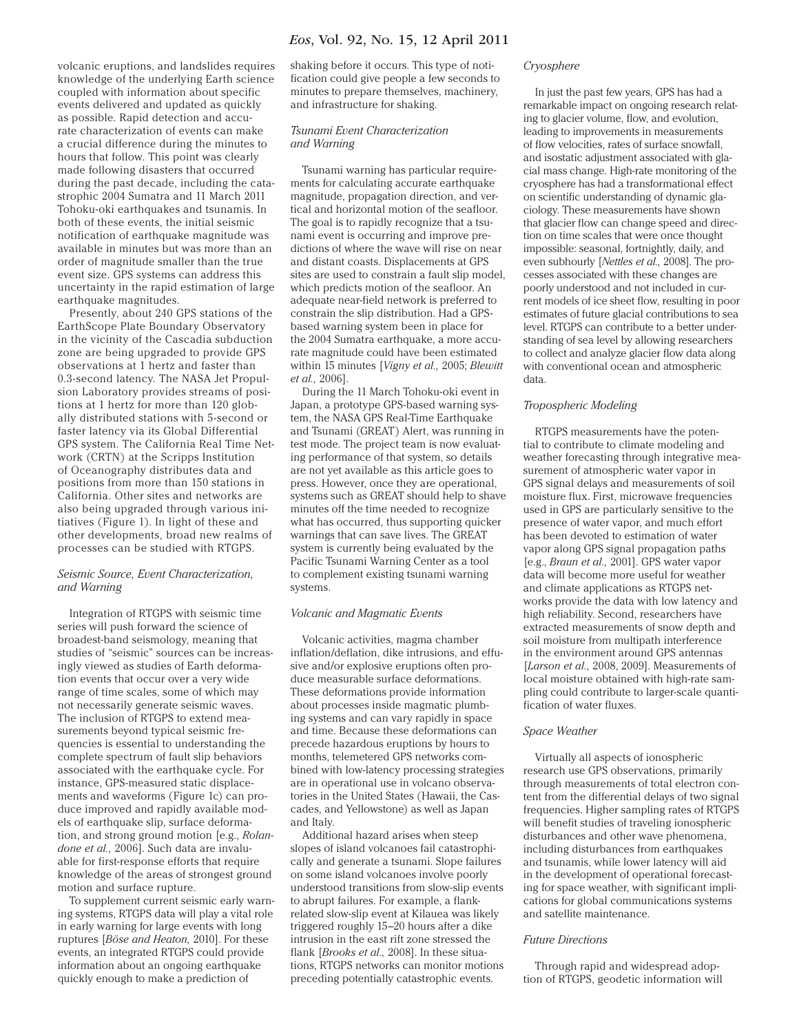volcanic eruptions, and landslides requires knowledge of the underlying Earth science coupled with information about specific events delivered and updated as quickly as possible. Rapid detection and accurate characterization of events can make a crucial difference during the minutes to hours that follow. This point was clearly made following disasters that occurred during the past decade, including the catastrophic 2004 Sumatra and 11 March 2011 Tohoku-oki earthquakes and tsunamis. In both of these events, the initial seismic notification of earthquake magnitude was available in minutes but was more than an order of magnitude smaller than the true event size. GPS systems can address this uncertainty in the rapid estimation of large earthquake magnitudes.

Presently, about 240 GPS stations of the EarthScope Plate Boundary Observatory in the vicinity of the Cascadia subduction zone are being upgraded to provide GPS observations at 1 hertz and faster than 0.3-second latency. The NASA Jet Propulsion Laboratory provides streams of positions at 1 hertz for more than 120 globally distributed stations with 5-second or faster latency via its Global Differential GPS system. The California Real Time Network (CRTN) at the Scripps Institution of Oceanography distributes data and positions from more than 150 stations in California. Other sites and networks are also being upgraded through various initiatives (Figure 1). In light of these and other developments, broad new realms of processes can be studied with RTGPS.

#### *Seismic Source, Event Characterization, and Warning*

Integration of RTGPS with seismic time series will push forward the science of broadest-band seismology, meaning that studies of "seismic" sources can be increasingly viewed as studies of Earth deformation events that occur over a very wide range of time scales, some of which may not necessarily generate seismic waves. The inclusion of RTGPS to extend measurements beyond typical seismic frequencies is essential to understanding the complete spectrum of fault slip behaviors associated with the earthquake cycle. For instance, GPS-measured static displacements and waveforms (Figure 1c) can produce improved and rapidly available models of earthquake slip, surface deformation, and strong ground motion [e.g., *Rolandone et al.,* 2006]. Such data are invaluable for first-response efforts that require knowledge of the areas of strongest ground motion and surface rupture.

To supplement current seismic early warning systems, RTGPS data will play a vital role in early warning for large events with long ruptures [*Böse and Heaton,* 2010]. For these events, an integrated RTGPS could provide information about an ongoing earthquake quickly enough to make a prediction of

shaking before it occurs. This type of notification could give people a few seconds to minutes to prepare themselves, machinery, and infrastructure for shaking.

#### *Tsunami Event Characterization and Warning*

Tsunami warning has particular requirements for calculating accurate earthquake magnitude, propagation direction, and vertical and horizontal motion of the seafloor. The goal is to rapidly recognize that a tsunami event is occurring and improve predictions of where the wave will rise on near and distant coasts. Displacements at GPS sites are used to constrain a fault slip model, which predicts motion of the seafloor. An adequate near-field network is preferred to constrain the slip distribution. Had a GPSbased warning system been in place for the 2004 Sumatra earthquake, a more accurate magnitude could have been estimated within 15 minutes [*Vigny et al.,* 2005; *Blewitt et al.,* 2006].

During the 11 March Tohoku-oki event in Japan, a prototype GPS-based warning system, the NASA GPS Real-Time Earthquake and Tsunami (GREAT) Alert, was running in test mode. The project team is now evaluating performance of that system, so details are not yet available as this article goes to press. However, once they are operational, systems such as GREAT should help to shave minutes off the time needed to recognize what has occurred, thus supporting quicker warnings that can save lives. The GREAT system is currently being evaluated by the Pacific Tsunami Warning Center as a tool to complement existing tsunami warning systems.

#### *Volcanic and Magmatic Events*

Volcanic activities, magma chamber inflation/deflation, dike intrusions, and effusive and/or explosive eruptions often produce measurable surface deformations. These deformations provide information about processes inside magmatic plumbing systems and can vary rapidly in space and time. Because these deformations can precede hazardous eruptions by hours to months, telemetered GPS networks combined with low-latency processing strategies are in operational use in volcano observatories in the United States (Hawaii, the Cascades, and Yellowstone) as well as Japan and Italy.

Additional hazard arises when steep slopes of island volcanoes fail catastrophically and generate a tsunami. Slope failures on some island volcanoes involve poorly understood transitions from slow-slip events to abrupt failures. For example, a flankrelated slow-slip event at Kilauea was likely triggered roughly 15–20 hours after a dike intrusion in the east rift zone stressed the flank [*Brooks et al.,* 2008]. In these situations, RTGPS networks can monitor motions preceding potentially catastrophic events.

#### *Cryosphere*

In just the past few years, GPS has had a remarkable impact on ongoing research relating to glacier volume, flow, and evolution, leading to improvements in measurements of flow velocities, rates of surface snowfall, and isostatic adjustment associated with glacial mass change. High-rate monitoring of the cryosphere has had a transformational effect on scientific understanding of dynamic glaciology. These measurements have shown that glacier flow can change speed and direction on time scales that were once thought impossible: seasonal, fortnightly, daily, and even subhourly [*Nettles et al.,* 2008]. The processes associated with these changes are poorly understood and not included in current models of ice sheet flow, resulting in poor estimates of future glacial contributions to sea level. RTGPS can contribute to a better understanding of sea level by allowing researchers to collect and analyze glacier flow data along with conventional ocean and atmospheric data.

#### *Tropospheric Modeling*

RTGPS measurements have the potential to contribute to climate modeling and weather forecasting through integrative measurement of atmospheric water vapor in GPS signal delays and measurements of soil moisture flux. First, microwave frequencies used in GPS are particularly sensitive to the presence of water vapor, and much effort has been devoted to estimation of water vapor along GPS signal propagation paths [e.g., *Braun et al.,* 2001]. GPS water vapor data will become more useful for weather and climate applications as RTGPS networks provide the data with low latency and high reliability. Second, researchers have extracted measurements of snow depth and soil moisture from multipath interference in the environment around GPS antennas [*Larson et al.,* 2008, 2009]. Measurements of local moisture obtained with high-rate sampling could contribute to larger-scale quantification of water fluxes.

#### *Space Weather*

Virtually all aspects of ionospheric research use GPS observations, primarily through measurements of total electron content from the differential delays of two signal frequencies. Higher sampling rates of RTGPS will benefit studies of traveling ionospheric disturbances and other wave phenomena, including disturbances from earthquakes and tsunamis, while lower latency will aid in the development of operational forecasting for space weather, with significant implications for global communications systems and satellite maintenance.

#### *Future Directions*

Through rapid and widespread adoption of RTGPS, geodetic information will